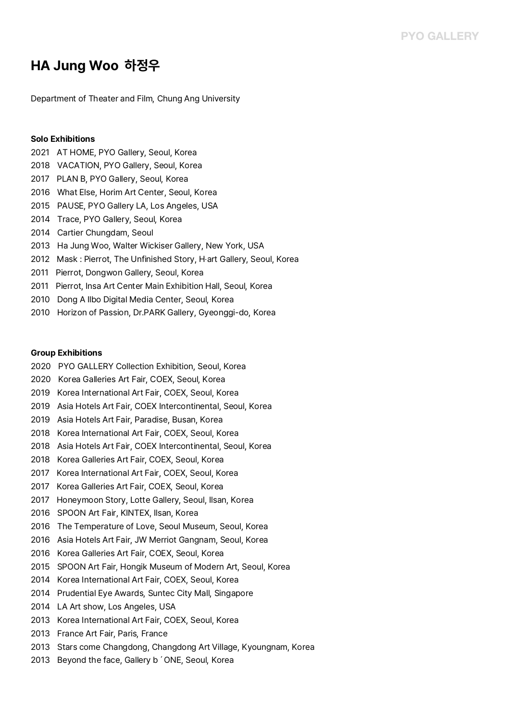# **HA Jung Woo 하정우**

Department of Theater and Film, Chung Ang University

## **Solo Exhibitions**

- 2021 AT HOME, PYO Gallery, Seoul, Korea
- 2018 VACATION, PYO Gallery, Seoul, Korea
- 2017 PLAN B, PYO Gallery, Seoul, Korea
- 2016 What Else, Horim Art Center, Seoul, Korea
- 2015 PAUSE, PYO Gallery LA, Los Angeles, USA
- 2014 Trace, PYO Gallery, Seoul, Korea
- 2014 Cartier Chungdam, Seoul
- 2013 Ha Jung Woo, Walter Wickiser Gallery, New York, USA
- 2012 Mask : Pierrot, The Unfinished Story, H‧art Gallery, Seoul, Korea
- 2011 Pierrot, Dongwon Gallery, Seoul, Korea
- 2011 Pierrot, Insa Art Center Main Exhibition Hall, Seoul, Korea
- 2010 Dong A Ilbo Digital Media Center, Seoul, Korea
- 2010 Horizon of Passion, Dr.PARK Gallery, Gyeonggi-do, Korea

## **Group Exhibitions**

- 2020 PYO GALLERY Collection Exhibition, Seoul, Korea
- 2020 Korea Galleries Art Fair, COEX, Seoul, Korea
- 2019 Korea International Art Fair, COEX, Seoul, Korea 2019 Asia Hotels Art Fair, COEX Intercontinental, Seoul, Korea
- 
- 2019 Asia Hotels Art Fair, Paradise, Busan, Korea
- 
- 2018 Korea International Art Fair, COEX, Seoul, Korea 2018 Asia Hotels Art Fair, COEX Intercontinental, Seoul, Korea
- 2018 Korea Galleries Art Fair, COEX, Seoul, Korea
- 2017 Korea International Art Fair, COEX, Seoul, Korea
- 2017 Korea Galleries Art Fair, COEX, Seoul, Korea
- 2017 Honeymoon Story, Lotte Gallery, Seoul, Ilsan, Korea
- 2016 SPOON Art Fair, KINTEX, Ilsan, Korea
- 2016 The Temperature of Love, Seoul Museum, Seoul, Korea
- 2016 Asia Hotels Art Fair, JW Merriot Gangnam, Seoul, Korea
- 2016 Korea Galleries Art Fair, COEX, Seoul, Korea
- 2015 SPOON Art Fair, Hongik Museum of Modern Art, Seoul, Korea
- 2014 Korea International Art Fair, COEX, Seoul, Korea 2014 Prudential Eye Awards, Suntec City Mall, Singapore
- 
- 
- 2014 LA Art show, Los Angeles, USA 2013 Korea International Art Fair, COEX, Seoul, Korea
- 2013 France Art Fair, Paris, France
- 2013 Stars come Changdong, Changdong Art Village, Kyoungnam, Korea<br>2013 Beyond the face, Gallery b 'ONE, Seoul, Korea
-